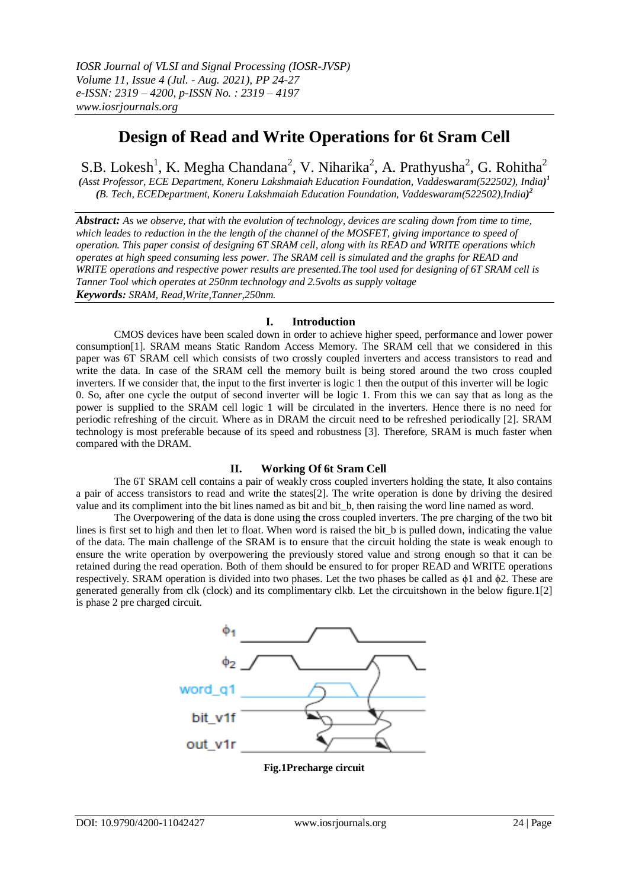# **Design of Read and Write Operations for 6t Sram Cell**

S.B. Lokesh<sup>1</sup>, K. Megha Chandana<sup>2</sup>, V. Niharika<sup>2</sup>, A. Prathyusha<sup>2</sup>, G. Rohitha<sup>2</sup> *(Asst Professor, ECE Department, Koneru Lakshmaiah Education Foundation, Vaddeswaram(522502), India) 1 (B. Tech, ECEDepartment, Koneru Lakshmaiah Education Foundation, Vaddeswaram(522502),India) 2*

*Abstract: As we observe, that with the evolution of technology, devices are scaling down from time to time, which leades to reduction in the the length of the channel of the MOSFET, giving importance to speed of operation. This paper consist of designing 6T SRAM cell, along with its READ and WRITE operations which operates at high speed consuming less power. The SRAM cell is simulated and the graphs for READ and WRITE operations and respective power results are presented.The tool used for designing of 6T SRAM cell is Tanner Tool which operates at 250nm technology and 2.5volts as supply voltage Keywords: SRAM, Read,Write,Tanner,250nm.*

#### **I. Introduction**

CMOS devices have been scaled down in order to achieve higher speed, performance and lower power consumption[1]. SRAM means Static Random Access Memory. The SRAM cell that we considered in this paper was 6T SRAM cell which consists of two crossly coupled inverters and access transistors to read and write the data. In case of the SRAM cell the memory built is being stored around the two cross coupled inverters. If we consider that, the input to the first inverter is logic 1 then the output of this inverter will be logic 0. So, after one cycle the output of second inverter will be logic 1. From this we can say that as long as the power is supplied to the SRAM cell logic 1 will be circulated in the inverters. Hence there is no need for periodic refreshing of the circuit. Where as in DRAM the circuit need to be refreshed periodically [2]. SRAM technology is most preferable because of its speed and robustness [3]. Therefore, SRAM is much faster when compared with the DRAM.

## **II. Working Of 6t Sram Cell**

The 6T SRAM cell contains a pair of weakly cross coupled inverters holding the state, It also contains a pair of access transistors to read and write the states[2]. The write operation is done by driving the desired value and its compliment into the bit lines named as bit and bit\_b, then raising the word line named as word.

The Overpowering of the data is done using the cross coupled inverters. The pre charging of the two bit lines is first set to high and then let to float. When word is raised the bit\_b is pulled down, indicating the value of the data. The main challenge of the SRAM is to ensure that the circuit holding the state is weak enough to ensure the write operation by overpowering the previously stored value and strong enough so that it can be retained during the read operation. Both of them should be ensured to for proper READ and WRITE operations respectively. SRAM operation is divided into two phases. Let the two phases be called as ϕ1 and ϕ2. These are generated generally from clk (clock) and its complimentary clkb. Let the circuitshown in the below figure.1[2] is phase 2 pre charged circuit.



**Fig.1Precharge circuit**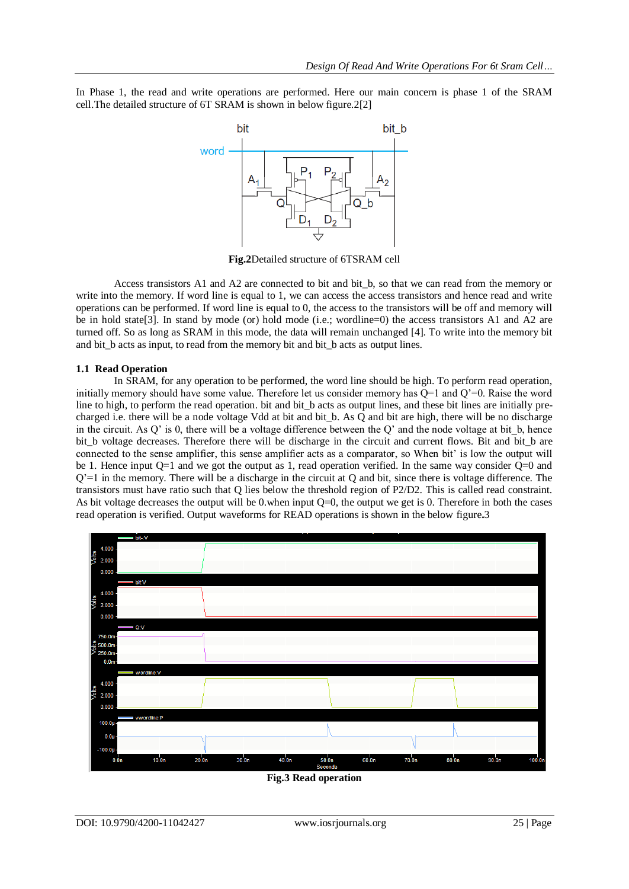In Phase 1, the read and write operations are performed. Here our main concern is phase 1 of the SRAM cell.The detailed structure of 6T SRAM is shown in below figure.2[2]



**Fig.2**Detailed structure of 6TSRAM cell

Access transistors A1 and A2 are connected to bit and bit\_b, so that we can read from the memory or write into the memory. If word line is equal to 1, we can access the access transistors and hence read and write operations can be performed. If word line is equal to 0, the access to the transistors will be off and memory will be in hold state[3]. In stand by mode (or) hold mode (i.e.; wordline=0) the access transistors A1 and A2 are turned off. So as long as SRAM in this mode, the data will remain unchanged [4]. To write into the memory bit and bit b acts as input, to read from the memory bit and bit b acts as output lines.

#### **1.1 Read Operation**

In SRAM, for any operation to be performed, the word line should be high. To perform read operation, initially memory should have some value. Therefore let us consider memory has Q=1 and Q'=0. Raise the word line to high, to perform the read operation. bit and bit\_b acts as output lines, and these bit lines are initially precharged i.e. there will be a node voltage Vdd at bit and bit\_b. As Q and bit are high, there will be no discharge in the circuit. As Q' is 0, there will be a voltage difference between the Q' and the node voltage at bit  $\bar{b}$ , hence bit b voltage decreases. Therefore there will be discharge in the circuit and current flows. Bit and bit b are connected to the sense amplifier, this sense amplifier acts as a comparator, so When bit' is low the output will be 1. Hence input Q=1 and we got the output as 1, read operation verified. In the same way consider Q=0 and  $Q'=1$  in the memory. There will be a discharge in the circuit at Q and bit, since there is voltage difference. The transistors must have ratio such that Q lies below the threshold region of P2/D2. This is called read constraint. As bit voltage decreases the output will be 0.when input  $Q=0$ , the output we get is 0. Therefore in both the cases read operation is verified. Output waveforms for READ operations is shown in the below figure**.**3



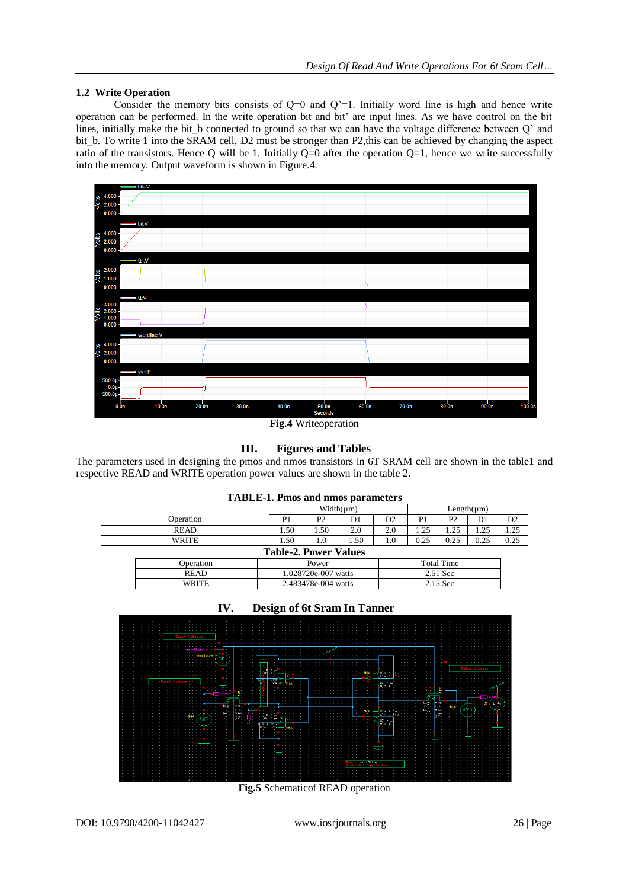## **1.2 Write Operation**

Consider the memory bits consists of  $Q=0$  and  $Q'=1$ . Initially word line is high and hence write operation can be performed. In the write operation bit and bit' are input lines. As we have control on the bit lines, initially make the bit\_b connected to ground so that we can have the voltage difference between Q' and bit\_b. To write 1 into the SRAM cell, D2 must be stronger than P2,this can be achieved by changing the aspect ratio of the transistors. Hence Q will be 1. Initially  $Q=0$  after the operation  $Q=1$ , hence we write successfully into the memory. Output waveform is shown in Figure.4.



**Fig.4** Writeoperation

## **III. Figures and Tables**

The parameters used in designing the pmos and nmos transistors in 6T SRAM cell are shown in the table1 and respective READ and WRITE operation power values are shown in the table 2.

|              | <b>TABLE-1. Pmos and nmos parameters</b> |                              |      |     |                   |                 |      |                |  |
|--------------|------------------------------------------|------------------------------|------|-----|-------------------|-----------------|------|----------------|--|
|              |                                          | $Width(\mu m)$               |      |     |                   | $Length(\mu m)$ |      |                |  |
| Operation    | P1                                       | P <sub>2</sub>               | D1   | D2  | P <sub>1</sub>    | P <sub>2</sub>  | D1   | D <sub>2</sub> |  |
| READ         | 1.50                                     | 1.50                         | 2.0  | 2.0 | 1.25              | 1.25            | 1.25 | 1.25           |  |
| <b>WRITE</b> | 1.50                                     | 1.0                          | 1.50 | 1.0 | 0.25              | 0.25            | 0.25 | 0.25           |  |
|              |                                          | <b>Table-2. Power Values</b> |      |     |                   |                 |      |                |  |
| Operation    |                                          | Power                        |      |     | <b>Total Time</b> |                 |      |                |  |
| READ         |                                          | 1.028720e-007 watts          |      |     | 2.51 Sec          |                 |      |                |  |
| WRITE        |                                          | 2.483478e-004 watts          |      |     | 2.15 Sec          |                 |      |                |  |





**Fig.5** Schematicof READ operation